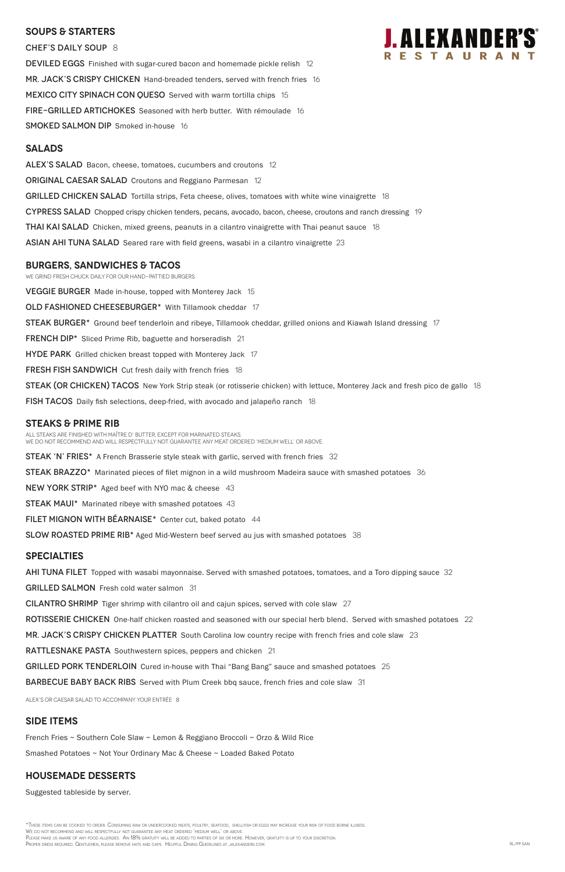#### **SOUPS & Starters**

CHEF'S DAILY SOUP 8 DEVILED EGGS Finished with sugar-cured bacon and homemade pickle relish 12 MR. JACK'S CRISPY CHICKEN Hand-breaded tenders, served with french fries 16 MEXICO CITY SPINACH CON QUESO Served with warm tortilla chips 15 FIRE-GRILLED ARTICHOKES Seasoned with herb butter. With rémoulade 16 SMOKED SALMON DIP Smoked in-house 16

#### **Salads**

ALEX'S SALAD Bacon, cheese, tomatoes, cucumbers and croutons 12 **ORIGINAL CAESAR SALAD** Croutons and Reggiano Parmesan 12 GRILLED CHICKEN SALAD Tortilla strips, Feta cheese, olives, tomatoes with white wine vinaigrette 18 CYPRESS SALAD Chopped crispy chicken tenders, pecans, avocado, bacon, cheese, croutons and ranch dressing 19 **THAI KAI SALAD** Chicken, mixed greens, peanuts in a cilantro vinaigrette with Thai peanut sauce 18 ASIAN AHI TUNA SALAD Seared rare with field greens, wasabi in a cilantro vinaigrette 23

#### **burgers, Sandwiches & TACOS**

We grind fresh chuck daily for our hand-pattied burgers. VEGGIE BURGER Made in-house, topped with Monterey Jack 15 OLD FASHIONED CHEESEBURGER\* With Tillamook cheddar 17 STEAK BURGER<sup>\*</sup> Ground beef tenderloin and ribeye, Tillamook cheddar, grilled onions and Kiawah Island dressing 17 FRENCH DIP<sup>\*</sup> Sliced Prime Rib, baguette and horseradish 21 **HYDE PARK** Grilled chicken breast topped with Monterey Jack 17 FRESH FISH SANDWICH Cut fresh daily with french fries 18 STEAK (OR CHICKEN) TACOS New York Strip steak (or rotisserie chicken) with lettuce, Monterey Jack and fresh pico de gallo 18 FISH TACOS Daily fish selections, deep-fried, with avocado and jalapeño ranch 18 **STEAKS & Prime Rib** 

\*These items can be cooked to order. Consuming raw or undercooked meats, poultry, seafood, shellfish or eggs may increase your risk of food borne illness. We do not recommend and will respectfully not guarantee any meat ordered 'medium well' or above. Please make us aware of any food allergies. An 18% gratuity will be added to parties of six or more. However, gratuity is up to your discretion. Proper dress required. Gentlemen, please remove hats and caps. Helpful Dining Guidelines at jalexanders.com. RL/PP SAN

All steaks are finished with Maître d' butter, except for marinated steaks. We do not recommend and will respectfully not guarantee any meat ordered 'medium well' or above.

STEAK 'N' FRIES\* A French Brasserie style steak with garlic, served with french fries 32

STEAK BRAZZO\* Marinated pieces of filet mignon in a wild mushroom Madeira sauce with smashed potatoes 36

NEW YORK STRIP\* Aged beef with NYO mac & cheese 43

**STEAK MAUI\*** Marinated ribeye with smashed potatoes 43

FILET MIGNON WITH BEARNAISE\* Center cut, baked potato 44

SLOW ROASTED PRIME RIB\* Aged Mid-Western beef served au jus with smashed potatoes 38

#### **specialties**

AHI TUNA FILET Topped with wasabi mayonnaise. Served with smashed potatoes, tomatoes, and a Toro dipping sauce 32

GRILLED SALMON Fresh cold water salmon 31

CILANTRO SHRIMP Tiger shrimp with cilantro oil and cajun spices, served with cole slaw 27

ROTISSERIE CHICKEN One-half chicken roasted and seasoned with our special herb blend. Served with smashed potatoes 22

MR. JACK'S CRISPY CHICKEN PLATTER South Carolina low country recipe with french fries and cole slaw 23



#### RATTLESNAKE PASTA Southwestern spices, peppers and chicken 21

# GRILLED PORK TENDERLOIN Cured in-house with Thai "Bang Bang" sauce and smashed potatoes 25 BARBECUE BABY BACK RIBS Served with Plum Creek bbq sauce, french fries and cole slaw 31

ALEX's or Caesar salad to accompany your entrée 8

# **SIDE ITEMS**

French Fries ~ Southern Cole Slaw ~ Lemon & Reggiano Broccoli ~ Orzo & Wild Rice

Smashed Potatoes ~ Not Your Ordinary Mac & Cheese ~ Loaded Baked Potato

### **housemade DESSERTS**

Suggested tableside by server.